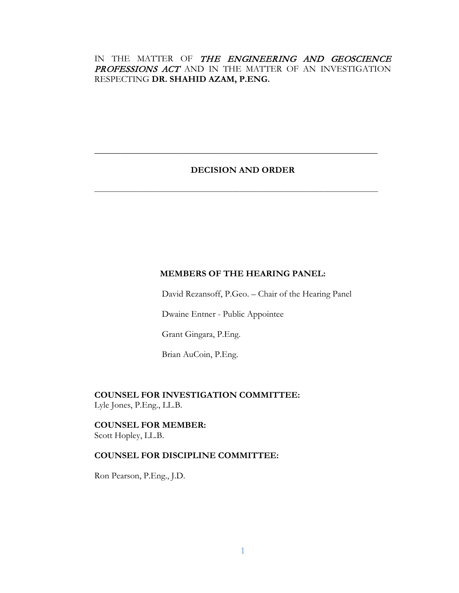# IN THE MATTER OF THE ENGINEERING AND GEOSCIENCE PROFESSIONS ACT AND IN THE MATTER OF AN INVESTIGATION RESPECTING **DR. SHAHID AZAM, P.ENG.**

## **DECISION AND ORDER**

**\_\_\_\_\_\_\_\_\_\_\_\_\_\_\_\_\_\_\_\_\_\_\_\_\_\_\_\_\_\_\_\_\_\_\_\_\_\_\_\_\_\_\_\_\_\_\_\_\_\_\_\_\_\_\_\_\_\_\_\_\_\_\_**

**\_\_\_\_\_\_\_\_\_\_\_\_\_\_\_\_\_\_\_\_\_\_\_\_\_\_\_\_\_\_\_\_\_\_\_\_\_\_\_\_\_\_\_\_\_\_\_\_\_\_\_\_\_\_\_\_\_\_\_\_\_\_\_\_\_\_\_\_\_\_\_\_\_\_\_\_\_\_\_\_\_\_\_\_**

# **MEMBERS OF THE HEARING PANEL:**

David Rezansoff, P.Geo. – Chair of the Hearing Panel

Dwaine Entner - Public Appointee

Grant Gingara, P.Eng.

Brian AuCoin, P.Eng.

**COUNSEL FOR INVESTIGATION COMMITTEE:** Lyle Jones, P.Eng., LL.B.

**COUNSEL FOR MEMBER:** Scott Hopley, LL.B.

### **COUNSEL FOR DISCIPLINE COMMITTEE:**

Ron Pearson, P.Eng., J.D.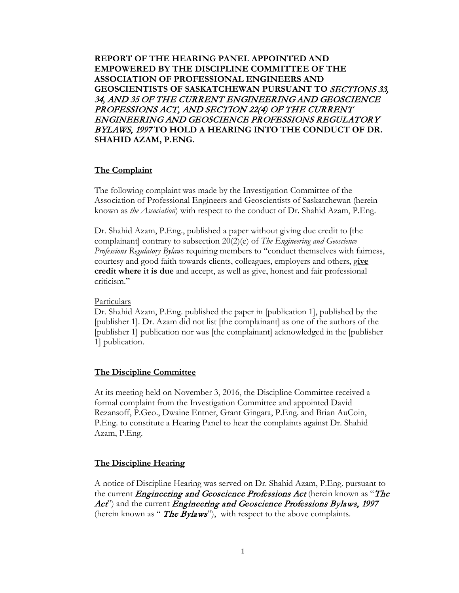**REPORT OF THE HEARING PANEL APPOINTED AND EMPOWERED BY THE DISCIPLINE COMMITTEE OF THE ASSOCIATION OF PROFESSIONAL ENGINEERS AND GEOSCIENTISTS OF SASKATCHEWAN PURSUANT TO** SECTIONS 33, 34, AND 35 OF THE CURRENT ENGINEERING AND GEOSCIENCE PROFESSIONS ACT, AND SECTION 22(4) OF THE CURRENT ENGINEERING AND GEOSCIENCE PROFESSIONS REGULATORY BYLAWS, 1997 **TO HOLD A HEARING INTO THE CONDUCT OF DR. SHAHID AZAM, P.ENG.**

## **The Complaint**

The following complaint was made by the Investigation Committee of the Association of Professional Engineers and Geoscientists of Saskatchewan (herein known as *the Association*) with respect to the conduct of Dr. Shahid Azam, P.Eng.

Dr. Shahid Azam, P.Eng., published a paper without giving due credit to [the complainant] contrary to subsection 20(2)(e) of *The Engineering and Geoscience Professions Regulatory Bylaws* requiring members to "conduct themselves with fairness, courtesy and good faith towards clients, colleagues, employers and others, g**ive credit where it is due** and accept, as well as give, honest and fair professional criticism."

#### Particulars

Dr. Shahid Azam, P.Eng. published the paper in [publication 1], published by the [publisher 1]. Dr. Azam did not list [the complainant] as one of the authors of the [publisher 1] publication nor was [the complainant] acknowledged in the [publisher 1] publication.

## **The Discipline Committee**

At its meeting held on November 3, 2016, the Discipline Committee received a formal complaint from the Investigation Committee and appointed David Rezansoff, P.Geo., Dwaine Entner, Grant Gingara, P.Eng. and Brian AuCoin, P.Eng. to constitute a Hearing Panel to hear the complaints against Dr. Shahid Azam, P.Eng.

## **The Discipline Hearing**

A notice of Discipline Hearing was served on Dr. Shahid Azam, P.Eng. pursuant to the current *Engineering and Geoscience Professions Act* (herein known as "The Act") and the current *Engineering and Geoscience Professions Bylaws*, 1997 (herein known as " The Bylaws"), with respect to the above complaints.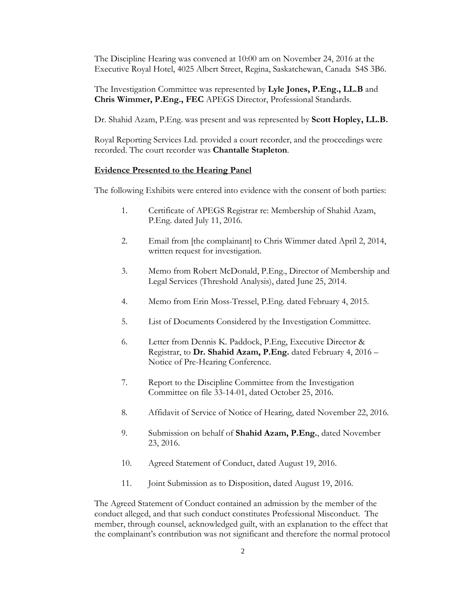The Discipline Hearing was convened at 10:00 am on November 24, 2016 at the Executive Royal Hotel, 4025 Albert Street, Regina, Saskatchewan, Canada S4S 3B6.

The Investigation Committee was represented by **Lyle Jones, P.Eng., LL.B** and **Chris Wimmer, P.Eng., FEC** APEGS Director, Professional Standards.

Dr. Shahid Azam, P.Eng. was present and was represented by **Scott Hopley, LL.B.**

Royal Reporting Services Ltd. provided a court recorder, and the proceedings were recorded. The court recorder was **Chantalle Stapleton**.

#### **Evidence Presented to the Hearing Panel**

The following Exhibits were entered into evidence with the consent of both parties:

- 1. Certificate of APEGS Registrar re: Membership of Shahid Azam, P.Eng. dated July 11, 2016.
- 2. Email from [the complainant] to Chris Wimmer dated April 2, 2014, written request for investigation.
- 3. Memo from Robert McDonald, P.Eng., Director of Membership and Legal Services (Threshold Analysis), dated June 25, 2014.
- 4. Memo from Erin Moss-Tressel, P.Eng. dated February 4, 2015.
- 5. List of Documents Considered by the Investigation Committee.
- 6. Letter from Dennis K. Paddock, P.Eng, Executive Director & Registrar, to **Dr. Shahid Azam, P.Eng.** dated February 4, 2016 – Notice of Pre-Hearing Conference.
- 7. Report to the Discipline Committee from the Investigation Committee on file 33-14-01, dated October 25, 2016.
- 8. Affidavit of Service of Notice of Hearing, dated November 22, 2016.
- 9. Submission on behalf of **Shahid Azam, P.Eng.**, dated November 23, 2016.
- 10. Agreed Statement of Conduct, dated August 19, 2016.
- 11. Joint Submission as to Disposition, dated August 19, 2016.

The Agreed Statement of Conduct contained an admission by the member of the conduct alleged, and that such conduct constitutes Professional Misconduct. The member, through counsel, acknowledged guilt, with an explanation to the effect that the complainant's contribution was not significant and therefore the normal protocol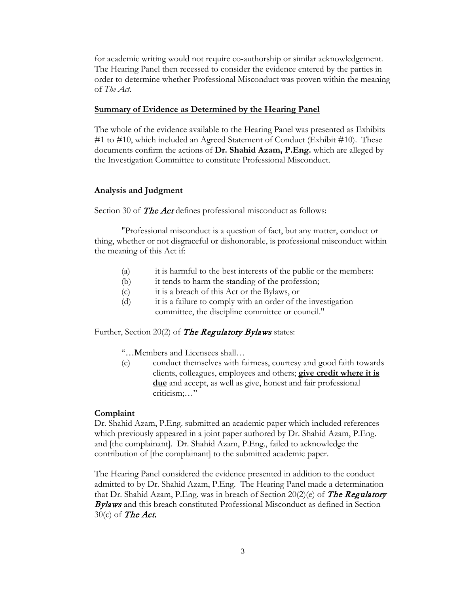for academic writing would not require co-authorship or similar acknowledgement. The Hearing Panel then recessed to consider the evidence entered by the parties in order to determine whether Professional Misconduct was proven within the meaning of *The Act*.

#### **Summary of Evidence as Determined by the Hearing Panel**

The whole of the evidence available to the Hearing Panel was presented as Exhibits #1 to #10, which included an Agreed Statement of Conduct (Exhibit #10). These documents confirm the actions of **Dr. Shahid Azam, P.Eng.** which are alleged by the Investigation Committee to constitute Professional Misconduct.

### **Analysis and Judgment**

Section 30 of **The Act** defines professional misconduct as follows:

"Professional misconduct is a question of fact, but any matter, conduct or thing, whether or not disgraceful or dishonorable, is professional misconduct within the meaning of this Act if:

- (a) it is harmful to the best interests of the public or the members:
- (b) it tends to harm the standing of the profession;
- (c) it is a breach of this Act or the Bylaws, or
- (d) it is a failure to comply with an order of the investigation committee, the discipline committee or council."

Further, Section 20(2) of **The Regulatory Bylaws** states:

"…Members and Licensees shall…

(e) conduct themselves with fairness, courtesy and good faith towards clients, colleagues, employees and others; **give credit where it is due** and accept, as well as give, honest and fair professional criticism;…"

#### **Complaint**

Dr. Shahid Azam, P.Eng. submitted an academic paper which included references which previously appeared in a joint paper authored by Dr. Shahid Azam, P.Eng. and [the complainant]. Dr. Shahid Azam, P.Eng., failed to acknowledge the contribution of [the complainant] to the submitted academic paper.

The Hearing Panel considered the evidence presented in addition to the conduct admitted to by Dr. Shahid Azam, P.Eng. The Hearing Panel made a determination that Dr. Shahid Azam, P.Eng. was in breach of Section  $20(2)(e)$  of The Regulatory Bylaws and this breach constituted Professional Misconduct as defined in Section  $30(c)$  of The Act.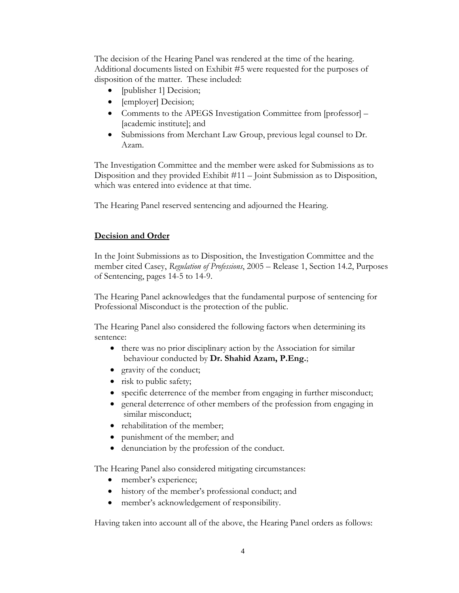The decision of the Hearing Panel was rendered at the time of the hearing. Additional documents listed on Exhibit #5 were requested for the purposes of disposition of the matter. These included:

- [publisher 1] Decision;
- [employer] Decision;
- Comments to the APEGS Investigation Committee from [professor] [academic institute]; and
- Submissions from Merchant Law Group, previous legal counsel to Dr. Azam.

The Investigation Committee and the member were asked for Submissions as to Disposition and they provided Exhibit #11 – Joint Submission as to Disposition, which was entered into evidence at that time.

The Hearing Panel reserved sentencing and adjourned the Hearing.

## **Decision and Order**

In the Joint Submissions as to Disposition, the Investigation Committee and the member cited Casey, *Regulation of Professions*, 2005 – Release 1, Section 14.2, Purposes of Sentencing, pages 14-5 to 14-9.

The Hearing Panel acknowledges that the fundamental purpose of sentencing for Professional Misconduct is the protection of the public.

The Hearing Panel also considered the following factors when determining its sentence:

- there was no prior disciplinary action by the Association for similar behaviour conducted by **Dr. Shahid Azam, P.Eng.**;
- gravity of the conduct;
- risk to public safety;
- specific deterrence of the member from engaging in further misconduct;
- general deterrence of other members of the profession from engaging in similar misconduct;
- rehabilitation of the member;
- punishment of the member; and
- denunciation by the profession of the conduct.

The Hearing Panel also considered mitigating circumstances:

- member's experience;
- history of the member's professional conduct; and
- member's acknowledgement of responsibility.

Having taken into account all of the above, the Hearing Panel orders as follows: